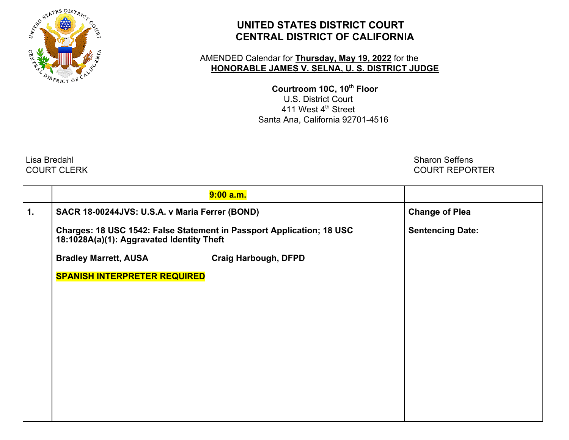

## **UNITED STATES DISTRICT COURTCENTRAL DISTRICT OF CALIFORNIA**

## AMENDED Calendar for **Thursday, May 19, 2022** for the  **HONORABLE JAMES V. SELNA, U. S. DISTRICT JUDGE**

**Courtroom 10C, 10th Floor**

U.S. District Court  $411$  West  $4^{\text{th}}$  Street Santa Ana, California 92701-4516

Lisa Bredahl

 Sharon SeffensCOURT CLERK COURT REPORTER

|    | 9:00a.m.                                                                                                           |                             |                         |
|----|--------------------------------------------------------------------------------------------------------------------|-----------------------------|-------------------------|
| 1. | SACR 18-00244JVS: U.S.A. v Maria Ferrer (BOND)                                                                     |                             | <b>Change of Plea</b>   |
|    | Charges: 18 USC 1542: False Statement in Passport Application; 18 USC<br>18:1028A(a)(1): Aggravated Identity Theft |                             | <b>Sentencing Date:</b> |
|    | <b>Bradley Marrett, AUSA</b>                                                                                       | <b>Craig Harbough, DFPD</b> |                         |
|    | <b>SPANISH INTERPRETER REQUIRED</b>                                                                                |                             |                         |
|    |                                                                                                                    |                             |                         |
|    |                                                                                                                    |                             |                         |
|    |                                                                                                                    |                             |                         |
|    |                                                                                                                    |                             |                         |
|    |                                                                                                                    |                             |                         |
|    |                                                                                                                    |                             |                         |
|    |                                                                                                                    |                             |                         |
|    |                                                                                                                    |                             |                         |